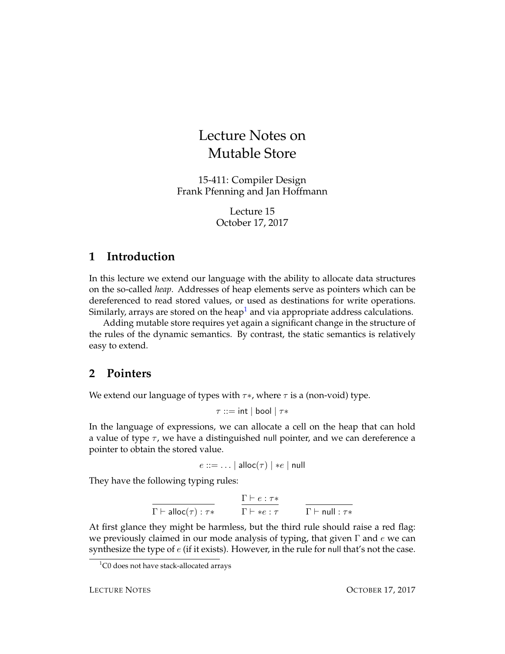# Lecture Notes on Mutable Store

15-411: Compiler Design Frank Pfenning and Jan Hoffmann

> Lecture 15 October 17, 2017

# **1 Introduction**

In this lecture we extend our language with the ability to allocate data structures on the so-called *heap*. Addresses of heap elements serve as pointers which can be dereferenced to read stored values, or used as destinations for write operations. Similarly, arrays are stored on the heap<sup>[1](#page-0-0)</sup> and via appropriate address calculations.

Adding mutable store requires yet again a significant change in the structure of the rules of the dynamic semantics. By contrast, the static semantics is relatively easy to extend.

# **2 Pointers**

We extend our language of types with  $\tau *$ , where  $\tau$  is a (non-void) type.

 $\tau ::= \mathsf{int} | \mathsf{bool} | \tau *$ 

In the language of expressions, we can allocate a cell on the heap that can hold a value of type  $\tau$ , we have a distinguished null pointer, and we can dereference a pointer to obtain the stored value.

 $e ::= \dots |$  alloc $(\tau) | *e |$  null

They have the following typing rules:

$$
\frac{\Gamma \vdash e : \tau*}{\Gamma \vdash \mathsf{alloc}(\tau) : \tau*} \qquad \frac{\Gamma \vdash e : \tau*}{\Gamma \vdash *e : \tau} \qquad \frac{\Gamma \vdash e : \tau*}{\Gamma \vdash \mathsf{null} : \tau*}
$$

At first glance they might be harmless, but the third rule should raise a red flag: we previously claimed in our mode analysis of typing, that given  $\Gamma$  and e we can synthesize the type of  $e$  (if it exists). However, in the rule for null that's not the case.

<span id="page-0-0"></span> $1$ C0 does not have stack-allocated arrays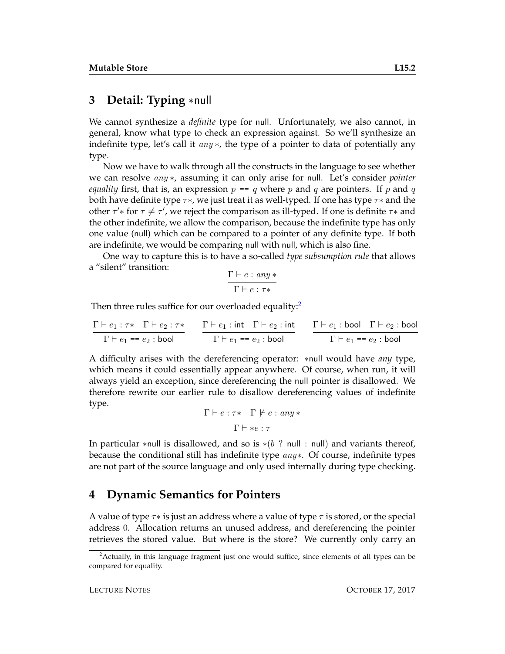# **3 Detail: Typing** ∗null

We cannot synthesize a *definite* type for null. Unfortunately, we also cannot, in general, know what type to check an expression against. So we'll synthesize an indefinite type, let's call it any  $\ast$ , the type of a pointer to data of potentially any type.

Now we have to walk through all the constructs in the language to see whether we can resolve any ∗, assuming it can only arise for null. Let's consider *pointer equality* first, that is, an expression  $p == q$  where p and q are pointers. If p and q both have definite type  $\tau\ast$ , we just treat it as well-typed. If one has type  $\tau\ast$  and the other  $\tau'$ \* for  $\tau \neq \tau'$ , we reject the comparison as ill-typed. If one is definite  $\tau$ \* and the other indefinite, we allow the comparison, because the indefinite type has only one value (null) which can be compared to a pointer of any definite type. If both are indefinite, we would be comparing null with null, which is also fine.

One way to capture this is to have a so-called *type subsumption rule* that allows a "silent" transition:

$$
\frac{\Gamma\vdash e: any*}{\Gamma\vdash e: \tau*}
$$

Then three rules suffice for our overloaded equality:<sup>[2](#page-1-0)</sup>

$$
\cfrac{\Gamma \vdash e_1 : \tau \ast \quad \Gamma \vdash e_2 : \tau \ast}{\Gamma \vdash e_1 = e_2 : \text{bool}}
$$
\n
$$
\cfrac{\Gamma \vdash e_1 : \text{int} \quad \Gamma \vdash e_2 : \text{int}}{\Gamma \vdash e_1 = e_2 : \text{bool}}
$$
\n
$$
\cfrac{\Gamma \vdash e_1 : \text{bool} \quad \Gamma \vdash e_2 : \text{bool}}{\Gamma \vdash e_1 = e_2 : \text{bool}}
$$

A difficulty arises with the dereferencing operator: ∗null would have *any* type, which means it could essentially appear anywhere. Of course, when run, it will always yield an exception, since dereferencing the null pointer is disallowed. We therefore rewrite our earlier rule to disallow dereferencing values of indefinite type.

$$
\frac{\Gamma \vdash e : \tau \ast \quad \Gamma \not\vdash e : any \ast}{\Gamma \vdash \ast e : \tau}
$$

In particular ∗null is disallowed, and so is  $*(b \text{ ? null : null})$  and variants thereof, because the conditional still has indefinite type  $any*$ . Of course, indefinite types are not part of the source language and only used internally during type checking.

### **4 Dynamic Semantics for Pointers**

A value of type  $\tau$ \* is just an address where a value of type  $\tau$  is stored, or the special address 0. Allocation returns an unused address, and dereferencing the pointer retrieves the stored value. But where is the store? We currently only carry an

<span id="page-1-0"></span> $2$ Actually, in this language fragment just one would suffice, since elements of all types can be compared for equality.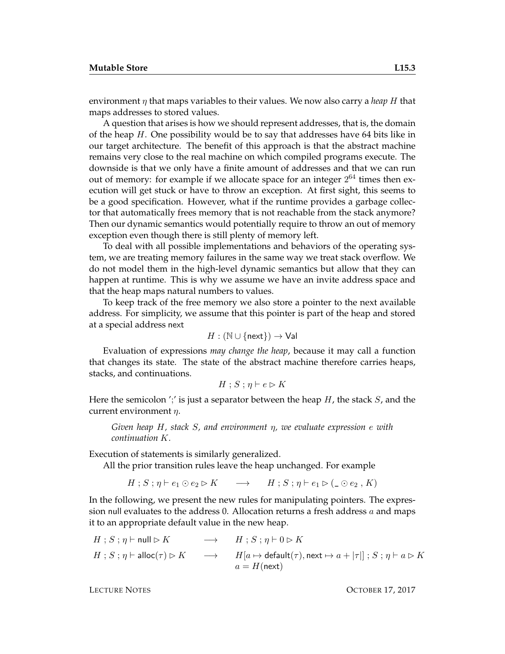environment  $\eta$  that maps variables to their values. We now also carry a *heap* H that maps addresses to stored values.

A question that arises is how we should represent addresses, that is, the domain of the heap  $H$ . One possibility would be to say that addresses have 64 bits like in our target architecture. The benefit of this approach is that the abstract machine remains very close to the real machine on which compiled programs execute. The downside is that we only have a finite amount of addresses and that we can run out of memory: for example if we allocate space for an integer  $2^{64}$  times then execution will get stuck or have to throw an exception. At first sight, this seems to be a good specification. However, what if the runtime provides a garbage collector that automatically frees memory that is not reachable from the stack anymore? Then our dynamic semantics would potentially require to throw an out of memory exception even though there is still plenty of memory left.

To deal with all possible implementations and behaviors of the operating system, we are treating memory failures in the same way we treat stack overflow. We do not model them in the high-level dynamic semantics but allow that they can happen at runtime. This is why we assume we have an invite address space and that the heap maps natural numbers to values.

To keep track of the free memory we also store a pointer to the next available address. For simplicity, we assume that this pointer is part of the heap and stored at a special address next

$$
H: (\mathbb{N} \cup \{\mathsf{next}\}) \to \mathsf{Val}
$$

Evaluation of expressions *may change the heap*, because it may call a function that changes its state. The state of the abstract machine therefore carries heaps, stacks, and continuations.

$$
H \mathbin{;} S \mathbin{;} \eta \vdash e \rhd K
$$

Here the semicolon ';' is just a separator between the heap  $H$ , the stack  $S$ , and the current environment  $\eta$ .

*Given heap* H*, stack* S*, and environment* η*, we evaluate expression* e *with continuation* K*.*

Execution of statements is similarly generalized.

All the prior transition rules leave the heap unchanged. For example

 $H : S : \eta \vdash e_1 \odot e_2 \triangleright K \longrightarrow H : S : \eta \vdash e_1 \triangleright (\_ \odot e_2, K)$ 

In the following, we present the new rules for manipulating pointers. The expression null evaluates to the address 0. Allocation returns a fresh address  $a$  and maps it to an appropriate default value in the new heap.

$$
H; S; \eta \vdash \mathsf{null} \triangleright K \longrightarrow H; S; \eta \vdash 0 \triangleright K
$$
  

$$
H; S; \eta \vdash \mathsf{alloc}(\tau) \triangleright K \longrightarrow H[a \mapsto \mathsf{default}(\tau), \mathsf{next} \mapsto a + |\tau|] ; S; \eta \vdash a \triangleright K
$$
  

$$
a = H(\mathsf{next})
$$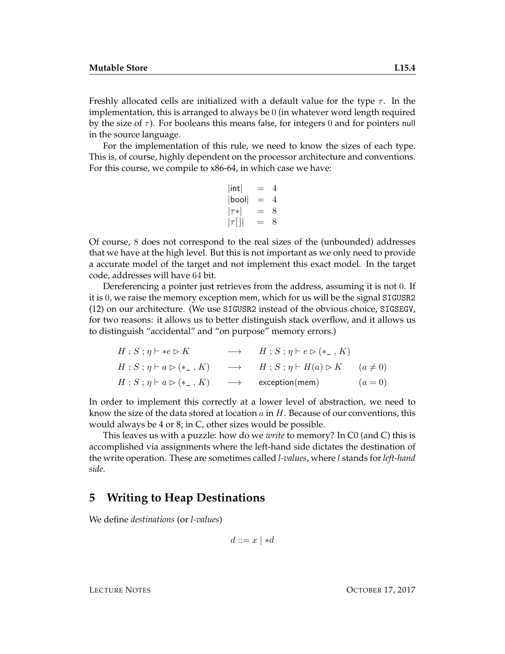Freshly allocated cells are initialized with a default value for the type  $\tau$ . In the implementation, this is arranged to always be 0 (in whatever word length required by the size of  $\tau$ ). For booleans this means false, for integers 0 and for pointers null in the source language.

For the implementation of this rule, we need to know the sizes of each type. This is, of course, highly dependent on the processor architecture and conventions. For this course, we compile to x86-64, in which case we have:

$$
|\text{int}| = 4
$$
  
\n|bool| = 4  
\n
$$
|\tau *| = 8
$$
  
\n
$$
|\tau|| = 8
$$

Of course, 8 does not correspond to the real sizes of the (unbounded) addresses that we have at the high level. But this is not important as we only need to provide a accurate model of the target and not implement this exact model. In the target code, addresses will have 64 bit.

Dereferencing a pointer just retrieves from the address, assuming it is not 0. If it is 0, we raise the memory exception mem, which for us will be the signal SIGUSR2 (12) on our architecture. (We use SIGUSR2 instead of the obvious choice, SIGSEGV, for two reasons: it allows us to better distinguish stack overflow, and it allows us to distinguish "accidental" and "on purpose" memory errors.)

$$
H; S; \eta \vdash *e \rhd K \longrightarrow H; S; \eta \vdash e \rhd (*_-, K)
$$
  
\n
$$
H; S; \eta \vdash a \rhd (*_-, K) \longrightarrow H; S; \eta \vdash H(a) \rhd K \quad (a \neq 0)
$$
  
\n
$$
H; S; \eta \vdash a \rhd (*_-, K) \longrightarrow \text{exception}(mem) \quad (a = 0)
$$

In order to implement this correctly at a lower level of abstraction, we need to know the size of the data stored at location  $a$  in  $H$ . Because of our conventions, this would always be 4 or 8; in C, other sizes would be possible.

This leaves us with a puzzle: how do we *write* to memory? In C0 (and C) this is accomplished via assignments where the left-hand side dictates the destination of the write operation. These are sometimes called *l-values*, where l stands for *left-hand side*.

### **5 Writing to Heap Destinations**

We define *destinations* (or *l-values*)

$$
d ::= x \mid *d
$$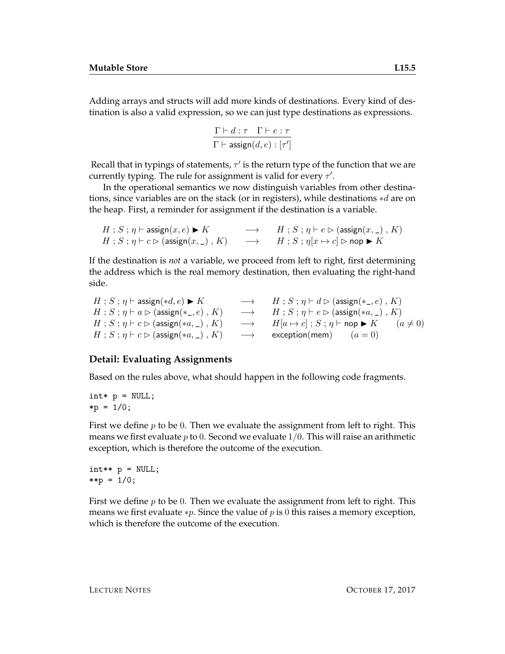Adding arrays and structs will add more kinds of destinations. Every kind of destination is also a valid expression, so we can just type destinations as expressions.

$$
\frac{\Gamma \vdash d : \tau \quad \Gamma \vdash e : \tau}{\Gamma \vdash \mathsf{assign}(d, e) : [\tau']}
$$

Recall that in typings of statements,  $\tau'$  is the return type of the function that we are currently typing. The rule for assignment is valid for every  $\tau'$ .

In the operational semantics we now distinguish variables from other destinations, since variables are on the stack (or in registers), while destinations ∗d are on the heap. First, a reminder for assignment if the destination is a variable.

```
H : S : \eta \vdash \mathsf{assign}(x, e) \blacktriangleright K \longrightarrow H : S : \eta \vdash e \triangleright (\mathsf{assign}(x, \_) , K)H; S; \eta \vdash c \rhd (\text{assign}(x, \_), K) \longrightarrow H; S; \eta[x \mapsto c] \rhd \text{nop} \blacktriangleright K
```
If the destination is *not* a variable, we proceed from left to right, first determining the address which is the real memory destination, then evaluating the right-hand side.

$$
\begin{array}{lcl} H\;;\,S\;;\,\eta \vdash \mathsf{assign}(*d,e) \blacktriangleright K &\longrightarrow & H\;;\,S\;;\,\eta \vdash d \rhd (\mathsf{assign}(*\_,e) \;,\, K)\\ H\;;\,S\;;\,\eta \vdash a \rhd (\mathsf{assign}(*\_,e) \;,\, K) &\longrightarrow & H\;;\,S\;;\,\eta \vdash e \rhd (\mathsf{assign}(*a,\_) \;,\, K)\\ H\;;\,S\;;\,\eta \vdash c \rhd (\mathsf{assign}(*a,\_) \;,\, K) &\longrightarrow & H[a \mapsto c] \;;\, S\;;\,\eta \vdash \mathsf{nop} \blacktriangleright K &\quad(a \neq 0)\\ H\;;\,S\;;\,\eta \vdash c \rhd (\mathsf{assign}(*a,\_) \;,\, K) &\longrightarrow &\mathsf{exception}(\mathsf{mem}) &\quad(a = 0)\\ \end{array}
$$

#### **Detail: Evaluating Assignments**

Based on the rules above, what should happen in the following code fragments.

```
\text{int} \ast \uprho = NULL;
*p = 1/0;
```
First we define  $p$  to be 0. Then we evaluate the assignment from left to right. This means we first evaluate  $p$  to 0. Second we evaluate  $1/0$ . This will raise an arithmetic exception, which is therefore the outcome of the execution.

 $int** p = NULL;$ \*\*p =  $1/0$ ;

First we define  $p$  to be 0. Then we evaluate the assignment from left to right. This means we first evaluate \*p. Since the value of p is 0 this raises a memory exception, which is therefore the outcome of the execution.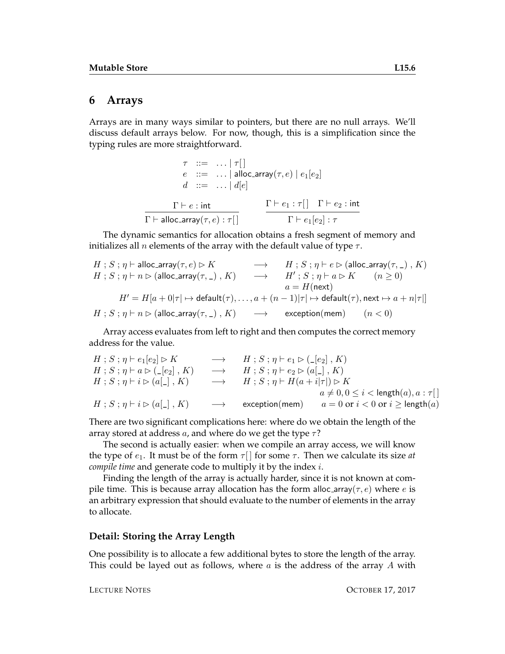### **6 Arrays**

Arrays are in many ways similar to pointers, but there are no null arrays. We'll discuss default arrays below. For now, though, this is a simplification since the typing rules are more straightforward.

| $\tau$ ::= $ \tau $                                                     |                                                                        |  |
|-------------------------------------------------------------------------|------------------------------------------------------------------------|--|
| $e$ ::=    alloc_array $(\tau, e)$   $e_1[e_2]$                         |                                                                        |  |
| $d ::= \dots   d[e]$                                                    |                                                                        |  |
| $\Gamma \vdash e : \mathsf{int}$                                        | $\Gamma \vdash e_1 : \tau \Box \quad \Gamma \vdash e_2 : \mathsf{int}$ |  |
| $\Gamma\vdash$ alloc_array $(\tau,e):\tau\lceil \frac{\Gamma}{2}\rceil$ | $\Gamma \vdash e_1[e_2] : \tau$                                        |  |

The dynamic semantics for allocation obtains a fresh segment of memory and initializes all *n* elements of the array with the default value of type  $\tau$ .

$$
\begin{array}{ccc} H\;;\,S\;;\,\eta \vdash \text{alloc\_array}(\tau,e) \rhd K & \longrightarrow & H\;;\,S\;;\,\eta \vdash e \rhd (\text{alloc\_array}(\tau,\,\_)\;,\,K)\\ H\;;\,S\;;\,\eta \vdash n \rhd (\text{alloc\_array}(\tau,\,\_)\;,\,K) & \longrightarrow & H'\;;\,S\;;\,\eta \vdash a \rhd K & (n \geq 0)\\ & & a = H(\text{next})\\ H'\,=\,H[a\,+\,0|\tau \,]\mapsto \text{default}(\tau),\,\ldots,\,a\,+\,(n-1)|\tau \,]\mapsto \text{default}(\tau),\,\text{next} \mapsto a + n|\tau|]\\ H\;;\,S\;;\,\eta \vdash n \rhd (\text{alloc\_array}(\tau,\,\_)\;,\,K) & \longrightarrow & \text{exception}(\text{mem})\qquad (n < 0)\\ \end{array}
$$

Array access evaluates from left to right and then computes the correct memory address for the value.

| $H$ ; $S$ ; $\eta$ $\vdash$ $e_1$ $[e_2] \triangleright K$                     |                   | $\rightarrow$ $H$ ; $S$ ; $\eta$ $\vdash$ $e_1 \triangleright (\_ [e_2]$ , $K$ )          |                                                  |
|--------------------------------------------------------------------------------|-------------------|-------------------------------------------------------------------------------------------|--------------------------------------------------|
| $H$ ; $S$ ; $\eta$ $\vdash$ $a \triangleright$ ( $\lfloor e_2 \rfloor$ , $K$ ) |                   | $\rightarrow$ $H$ ; $S$ ; $\eta$ $\vdash$ $e_2 \triangleright$ $(a \lfloor . \rfloor, K)$ |                                                  |
| $H$ ; $S$ ; $\eta$ $\vdash$ $i \triangleright$ $(a[\_], K)$                    |                   | $\rightarrow$ $H$ ; $S$ ; $\eta$ $\vdash$ $H(a+i \tau ) \triangleright K$                 |                                                  |
|                                                                                |                   |                                                                                           | $a \neq 0, 0 \leq i <$ length $(a), a : \tau$ [] |
| $H$ ; $S$ ; $\eta$ $\vdash$ $i \triangleright$ $(a \lbrack - \rbrack, K)$      | $\longrightarrow$ | exception(mem)                                                                            | $a = 0$ or $i < 0$ or $i \geq$ length $(a)$      |

There are two significant complications here: where do we obtain the length of the array stored at address a, and where do we get the type  $\tau$ ?

The second is actually easier: when we compile an array access, we will know the type of  $e_1$ . It must be of the form  $\tau$  | for some  $\tau$ . Then we calculate its size *at compile time* and generate code to multiply it by the index i.

Finding the length of the array is actually harder, since it is not known at compile time. This is because array allocation has the form alloc-array( $\tau$ ,  $e$ ) where  $e$  is an arbitrary expression that should evaluate to the number of elements in the array to allocate.

#### **Detail: Storing the Array Length**

One possibility is to allocate a few additional bytes to store the length of the array. This could be layed out as follows, where  $a$  is the address of the array  $A$  with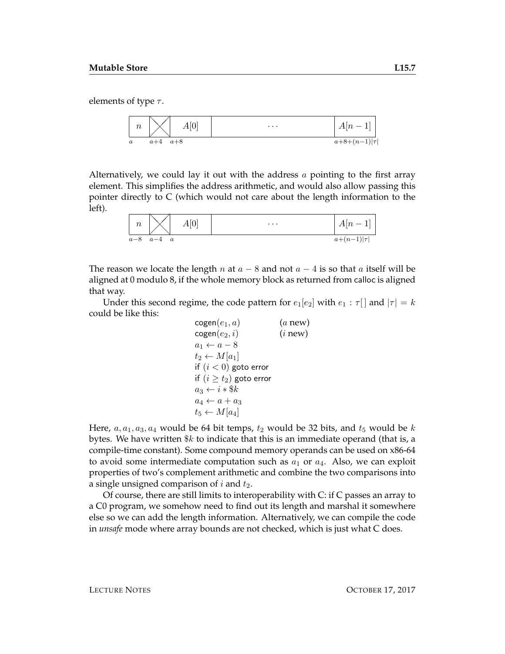elements of type  $\tau$ .



Alternatively, we could lay it out with the address  $a$  pointing to the first array element. This simplifies the address arithmetic, and would also allow passing this pointer directly to C (which would not care about the length information to the left).

| $\, n$ | A[0]                      | $\cdots$ | $\Delta \lceil n \rceil$ |
|--------|---------------------------|----------|--------------------------|
| $a-8$  | $a-4$<br>$\boldsymbol{a}$ |          | $a+(n-1) \tau $          |

The reason we locate the length n at  $a - 8$  and not  $a - 4$  is so that a itself will be aligned at 0 modulo 8, if the whole memory block as returned from calloc is aligned that way.

Under this second regime, the code pattern for  $e_1[e_2]$  with  $e_1 : \tau$  and  $|\tau| = k$ could be like this:

$$
\begin{array}{ll}\n\text{cogen}(e_1, a) & (a new) \\
\text{cogen}(e_2, i) & (i new) \\
a_1 \leftarrow a - 8 \\
t_2 \leftarrow M[a_1] \\
\text{if } (i < 0) \text{ go to error} \\
\text{if } (i \geq t_2) \text{ go to error} \\
a_3 \leftarrow i * \$k \\
a_4 \leftarrow a + a_3 \\
t_5 \leftarrow M[a_4]\n\end{array}
$$

Here,  $a, a_1, a_3, a_4$  would be 64 bit temps,  $t_2$  would be 32 bits, and  $t_5$  would be k bytes. We have written  $\&k$  to indicate that this is an immediate operand (that is, a compile-time constant). Some compound memory operands can be used on x86-64 to avoid some intermediate computation such as  $a_1$  or  $a_4$ . Also, we can exploit properties of two's complement arithmetic and combine the two comparisons into a single unsigned comparison of  $i$  and  $t_2$ .

Of course, there are still limits to interoperability with C: if C passes an array to a C0 program, we somehow need to find out its length and marshal it somewhere else so we can add the length information. Alternatively, we can compile the code in *unsafe* mode where array bounds are not checked, which is just what C does.